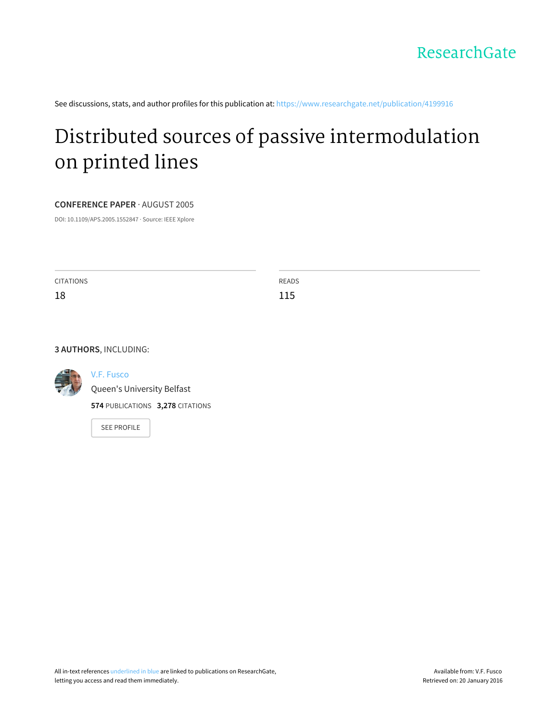

See discussions, stats, and author profiles for this publication at: [https://www.researchgate.net/publication/4199916](https://www.researchgate.net/publication/4199916_Distributed_sources_of_passive_intermodulation_on_printed_lines?enrichId=rgreq-d96e5d4f-d8ab-4938-a240-9eb30af7b284&enrichSource=Y292ZXJQYWdlOzQxOTk5MTY7QVM6OTg0OTA1NTg0NTE3MTRAMTQwMDQ5MzM4NzA3Ng%3D%3D&el=1_x_2)

# Distributed sources of passive [intermodulation](https://www.researchgate.net/publication/4199916_Distributed_sources_of_passive_intermodulation_on_printed_lines?enrichId=rgreq-d96e5d4f-d8ab-4938-a240-9eb30af7b284&enrichSource=Y292ZXJQYWdlOzQxOTk5MTY7QVM6OTg0OTA1NTg0NTE3MTRAMTQwMDQ5MzM4NzA3Ng%3D%3D&el=1_x_3) on printed lines

#### **CONFERENCE PAPER** · AUGUST 2005

DOI: 10.1109/APS.2005.1552847 · Source: IEEE Xplore

| CITATIONS | READS |
|-----------|-------|
| 18        | 115   |
|           |       |

#### **3 AUTHORS**, INCLUDING:



## V.F. [Fusco](https://www.researchgate.net/profile/VF_Fusco?enrichId=rgreq-d96e5d4f-d8ab-4938-a240-9eb30af7b284&enrichSource=Y292ZXJQYWdlOzQxOTk5MTY7QVM6OTg0OTA1NTg0NTE3MTRAMTQwMDQ5MzM4NzA3Ng%3D%3D&el=1_x_5)

Queen's [University](https://www.researchgate.net/institution/Queens_University_Belfast?enrichId=rgreq-d96e5d4f-d8ab-4938-a240-9eb30af7b284&enrichSource=Y292ZXJQYWdlOzQxOTk5MTY7QVM6OTg0OTA1NTg0NTE3MTRAMTQwMDQ5MzM4NzA3Ng%3D%3D&el=1_x_6) Belfast

**574** PUBLICATIONS **3,278** CITATIONS

SEE [PROFILE](https://www.researchgate.net/profile/VF_Fusco?enrichId=rgreq-d96e5d4f-d8ab-4938-a240-9eb30af7b284&enrichSource=Y292ZXJQYWdlOzQxOTk5MTY7QVM6OTg0OTA1NTg0NTE3MTRAMTQwMDQ5MzM4NzA3Ng%3D%3D&el=1_x_7)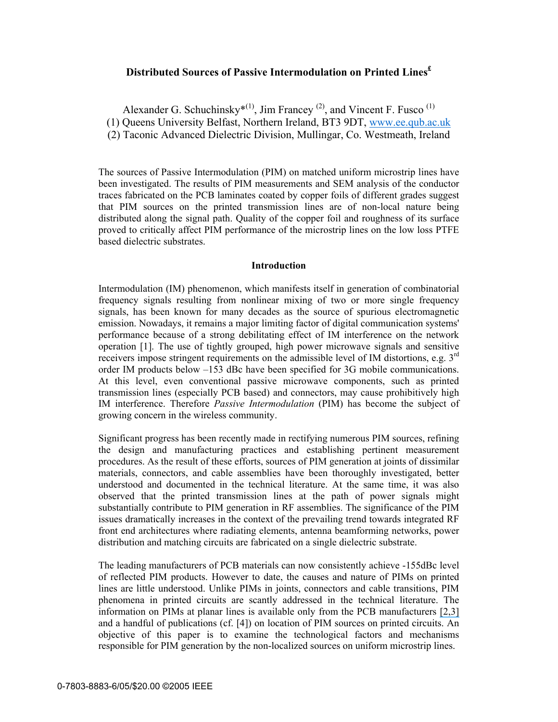## **Distributed Sources of Passive Intermodulation on Printed Lines£**

Alexander G. Schuchinsky<sup>\*(1)</sup>, Jim Francey<sup>(2)</sup>, and Vincent F. Fusco<sup>(1)</sup>

(1) Queens University Belfast, Northern Ireland, BT3 9DT, www.ee.qub.ac.uk

(2) Taconic Advanced Dielectric Division, Mullingar, Co. Westmeath, Ireland

The sources of Passive Intermodulation (PIM) on matched uniform microstrip lines have been investigated. The results of PIM measurements and SEM analysis of the conductor traces fabricated on the PCB laminates coated by copper foils of different grades suggest that PIM sources on the printed transmission lines are of non-local nature being distributed along the signal path. Quality of the copper foil and roughness of its surface proved to critically affect PIM performance of the microstrip lines on the low loss PTFE based dielectric substrates.

### **Introduction**

Intermodulation (IM) phenomenon, which manifests itself in generation of combinatorial frequency signals resulting from nonlinear mixing of two or more single frequency signals, has been known for many decades as the source of spurious electromagnetic emission. Nowadays, it remains a major limiting factor of digital communication systems' performance because of a strong debilitating effect of IM interference on the network operation [1]. The use of tightly grouped, high power microwave signals and sensitive receivers impose stringent requirements on the admissible level of IM distortions, e.g. 3<sup>rd</sup> order IM products below –153 dBc have been specified for 3G mobile communications. At this level, even conventional passive microwave components, such as printed transmission lines (especially PCB based) and connectors, may cause prohibitively high IM interference. Therefore *Passive Intermodulation* (PIM) has become the subject of growing concern in the wireless community.

Significant progress has been recently made in rectifying numerous PIM sources, refining the design and manufacturing practices and establishing pertinent measurement procedures. As the result of these efforts, sources of PIM generation at joints of dissimilar materials, connectors, and cable assemblies have been thoroughly investigated, better understood and documented in the technical literature. At the same time, it was also observed that the printed transmission lines at the path of power signals might substantially contribute to PIM generation in RF assemblies. The significance of the PIM issues dramatically increases in the context of the prevailing trend towards integrated RF front end architectures where radiating elements, antenna beamforming networks, power distribution and matching circuits are fabricated on a single dielectric substrate.

The leading manufacturers of PCB materials can now consistently achieve -155dBc level of reflected PIM products. However to date, the causes and nature of PIMs on printed lines are little understood. Unlike PIMs in joints, connectors and cable transitions, PIM phenomena in printed circuits are scantly addressed in the technical literature. The information on PIMs at planar lines is available only from the PCB manufacturers [\[2,3\]](https://www.researchgate.net/publication/4132929_Passive_intermodulation_near-field_measurements_on_microstrip_lines?el=1_x_8&enrichId=rgreq-d96e5d4f-d8ab-4938-a240-9eb30af7b284&enrichSource=Y292ZXJQYWdlOzQxOTk5MTY7QVM6OTg0OTA1NTg0NTE3MTRAMTQwMDQ5MzM4NzA3Ng==)  and a handful of publications (cf. [4]) on location of PIM sources on printed circuits. An objective of this paper is to examine the technological factors and mechanisms responsible for PIM generation by the non-localized sources on uniform microstrip lines.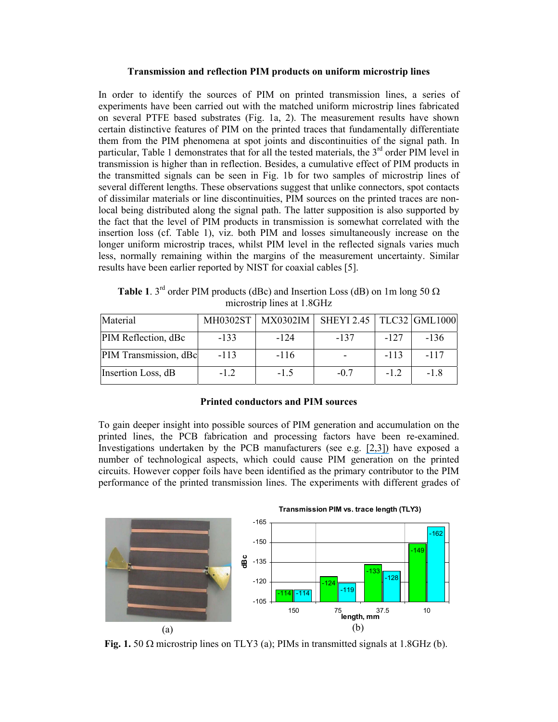#### **Transmission and reflection PIM products on uniform microstrip lines**

In order to identify the sources of PIM on printed transmission lines, a series of experiments have been carried out with the matched uniform microstrip lines fabricated on several PTFE based substrates (Fig. 1a, 2). The measurement results have shown certain distinctive features of PIM on the printed traces that fundamentally differentiate them from the PIM phenomena at spot joints and discontinuities of the signal path. In particular, Table 1 demonstrates that for all the tested materials, the  $3<sup>rd</sup>$  order PIM level in transmission is higher than in reflection. Besides, a cumulative effect of PIM products in the transmitted signals can be seen in Fig. 1b for two samples of microstrip lines of several different lengths. These observations suggest that unlike connectors, spot contacts of dissimilar materials or line discontinuities, PIM sources on the printed traces are nonlocal being distributed along the signal path. The latter supposition is also supported by the fact that the level of PIM products in transmission is somewhat correlated with the insertion loss (cf. Table 1), viz. both PIM and losses simultaneously increase on the longer uniform microstrip traces, whilst PIM level in the reflected signals varies much less, normally remaining within the margins of the measurement uncertainty. Similar results have been earlier reported by NIST for coaxial cables [5].

| Material              | MH0302ST | <b>MX0302IM</b> | SHEYI 2.45   TLC32   GML1000 |        |        |
|-----------------------|----------|-----------------|------------------------------|--------|--------|
| PIM Reflection, dBc   | $-133$   | $-124$          | $-137$                       | $-127$ | $-136$ |
| PIM Transmission, dBc | $-113$   | $-116$          |                              | $-113$ | $-117$ |
| Insertion Loss, dB    | $-12$    | $-1.5$          | $-07$                        | $-1.2$ | $-18$  |

**Table 1**. 3<sup>rd</sup> order PIM products (dBc) and Insertion Loss (dB) on 1m long 50  $\Omega$ microstrip lines at 1.8GHz

#### **Printed conductors and PIM sources**

To gain deeper insight into possible sources of PIM generation and accumulation on the printed lines, the PCB fabrication and processing factors have been re-examined. Investigations undertaken by the PCB manufacturers (see e.g. [\[2,3\]\)](https://www.researchgate.net/publication/4132929_Passive_intermodulation_near-field_measurements_on_microstrip_lines?el=1_x_8&enrichId=rgreq-d96e5d4f-d8ab-4938-a240-9eb30af7b284&enrichSource=Y292ZXJQYWdlOzQxOTk5MTY7QVM6OTg0OTA1NTg0NTE3MTRAMTQwMDQ5MzM4NzA3Ng==) have exposed a number of technological aspects, which could cause PIM generation on the printed circuits. However copper foils have been identified as the primary contributor to the PIM performance of the printed transmission lines. The experiments with different grades of



**Fig. 1.** 50  $\Omega$  microstrip lines on TLY3 (a); PIMs in transmitted signals at 1.8GHz (b).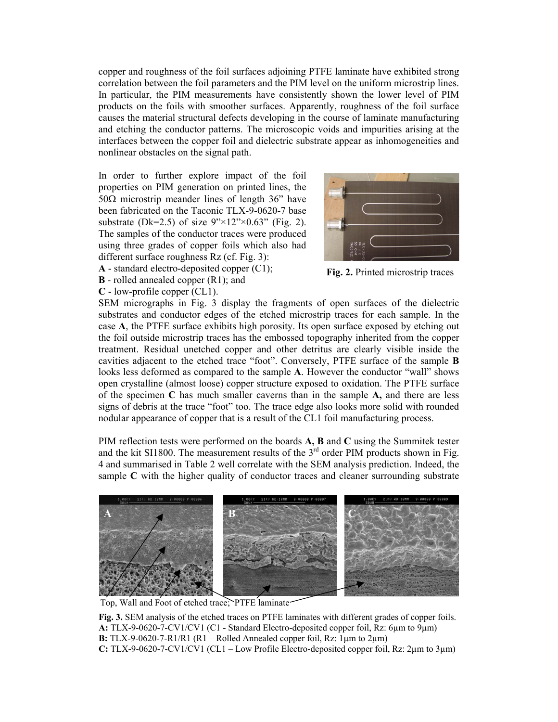copper and roughness of the foil surfaces adjoining PTFE laminate have exhibited strong correlation between the foil parameters and the PIM level on the uniform microstrip lines. In particular, the PIM measurements have consistently shown the lower level of PIM products on the foils with smoother surfaces. Apparently, roughness of the foil surface causes the material structural defects developing in the course of laminate manufacturing and etching the conductor patterns. The microscopic voids and impurities arising at the interfaces between the copper foil and dielectric substrate appear as inhomogeneities and nonlinear obstacles on the signal path.

In order to further explore impact of the foil properties on PIM generation on printed lines, the 50Ω microstrip meander lines of length  $36$ " have been fabricated on the Taconic TLX-9-0620-7 base substrate (Dk=2.5) of size  $9'' \times 12'' \times 0.63''$  (Fig. 2). The samples of the conductor traces were produced using three grades of copper foils which also had different surface roughness Rz (cf. Fig. 3):



**A** - standard electro-deposited copper (C1);

**B** - rolled annealed copper (R1); and **C** - low-profile copper (CL1).

**Fig. 2.** Printed microstrip traces

SEM micrographs in Fig. 3 display the fragments of open surfaces of the dielectric substrates and conductor edges of the etched microstrip traces for each sample. In the case **A**, the PTFE surface exhibits high porosity. Its open surface exposed by etching out the foil outside microstrip traces has the embossed topography inherited from the copper treatment. Residual unetched copper and other detritus are clearly visible inside the cavities adjacent to the etched trace "foot". Conversely, PTFE surface of the sample **B** looks less deformed as compared to the sample **A**. However the conductor "wall" shows open crystalline (almost loose) copper structure exposed to oxidation. The PTFE surface of the specimen **C** has much smaller caverns than in the sample **A,** and there are less signs of debris at the trace "foot" too. The trace edge also looks more solid with rounded nodular appearance of copper that is a result of the CL1 foil manufacturing process.

PIM reflection tests were performed on the boards **A, B** and **C** using the Summitek tester and the kit SI1800. The measurement results of the  $3<sup>rd</sup>$  order PIM products shown in Fig. 4 and summarised in Table 2 well correlate with the SEM analysis prediction. Indeed, the sample C with the higher quality of conductor traces and cleaner surrounding substrate



Top, Wall and Foot of etched trace; PTFE laminate

**Fig. 3.** SEM analysis of the etched traces on PTFE laminates with different grades of copper foils. **A:** TLX-9-0620-7-CV1/CV1 (C1 - Standard Electro-deposited copper foil, Rz: 6µm to 9µm) **B:** TLX-9-0620-7-R1/R1 (R1 – Rolled Annealed copper foil, Rz:  $1\mu$ m to  $2\mu$ m) **C:** TLX-9-0620-7-CV1/CV1 (CL1 – Low Profile Electro-deposited copper foil, Rz: 2µm to 3µm)